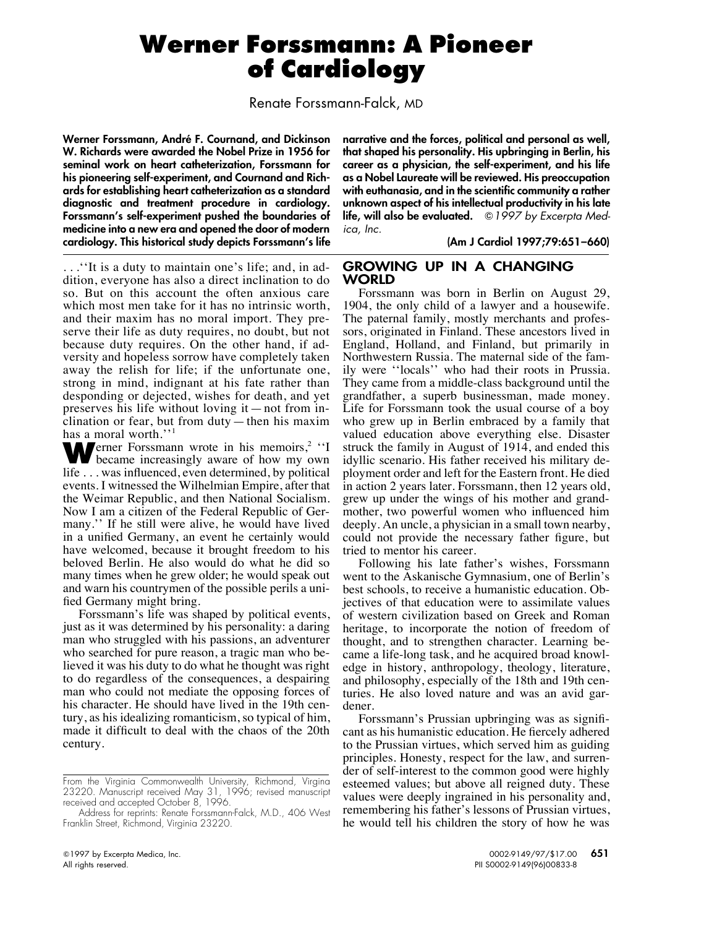# **Werner Forssmann: A Pioneer of Cardiology**

Renate Forssmann-Falck, MD

Werner Forssmann, André F. Cournand, and Dickinson W. Richards were awarded the Nobel Prize in 1956 for seminal work on heart catheterization, Forssmann for his pioneering self-experiment, and Cournand and Richards for establishing heart catheterization as a standard diagnostic and treatment procedure in cardiology. Forssmann's self-experiment pushed the boundaries of medicine into a new era and opened the door of modern cardiology. This historical study depicts Forssmann's life narrative and the forces, political and personal as well, that shaped his personality. His upbringing in Berlin, his career as a physician, the self-experiment, and his life as a Nobel Laureate will be reviewed. His preoccupation with euthanasia, and in the scientific community a rather unknown aspect of his intellectual productivity in his late life, will also be evaluated.  $@1997$  by Excerpta Medica, Inc.

(Am J Cardiol 1997;79:651–660)

#### . It is a duty to maintain one's life; and, in addition, everyone has also a direct inclination to do so. But on this account the often anxious care which most men take for it has no intrinsic worth, and their maxim has no moral import. They preserve their life as duty requires, no doubt, but not because duty requires. On the other hand, if adversity and hopeless sorrow have completely taken away the relish for life; if the unfortunate one, strong in mind, indignant at his fate rather than desponding or dejected, wishes for death, and yet preserves his life without loving it—not from inclination or fear, but from duty—then his maxim has a moral worth."<sup>1</sup>

**Werner Forssmann wrote in his memoirs,<sup>2</sup> "I** became increasingly aware of how my own life . . . was influenced, even determined, by political events. I witnessed the Wilhelmian Empire, after that the Weimar Republic, and then National Socialism. Now I am a citizen of the Federal Republic of Germany.'' If he still were alive, he would have lived in a unified Germany, an event he certainly would have welcomed, because it brought freedom to his beloved Berlin. He also would do what he did so many times when he grew older; he would speak out and warn his countrymen of the possible perils a unified Germany might bring.

Forssmann's life was shaped by political events, just as it was determined by his personality: a daring man who struggled with his passions, an adventurer who searched for pure reason, a tragic man who believed it was his duty to do what he thought was right to do regardless of the consequences, a despairing man who could not mediate the opposing forces of his character. He should have lived in the 19th century, as his idealizing romanticism, so typical of him, made it difficult to deal with the chaos of the 20th century.

## GROWING UP IN A CHANGING **WORLD**

Forssmann was born in Berlin on August 29, 1904, the only child of a lawyer and a housewife. The paternal family, mostly merchants and professors, originated in Finland. These ancestors lived in England, Holland, and Finland, but primarily in Northwestern Russia. The maternal side of the family were ''locals'' who had their roots in Prussia. They came from a middle-class background until the grandfather, a superb businessman, made money. Life for Forssmann took the usual course of a boy who grew up in Berlin embraced by a family that valued education above everything else. Disaster struck the family in August of 1914, and ended this idyllic scenario. His father received his military deployment order and left for the Eastern front. He died in action 2 years later. Forssmann, then 12 years old, grew up under the wings of his mother and grandmother, two powerful women who influenced him deeply. An uncle, a physician in a small town nearby, could not provide the necessary father figure, but tried to mentor his career.

Following his late father's wishes, Forssmann went to the Askanische Gymnasium, one of Berlin's best schools, to receive a humanistic education. Objectives of that education were to assimilate values of western civilization based on Greek and Roman heritage, to incorporate the notion of freedom of thought, and to strengthen character. Learning became a life-long task, and he acquired broad knowledge in history, anthropology, theology, literature, and philosophy, especially of the 18th and 19th centuries. He also loved nature and was an avid gardener.

Forssmann's Prussian upbringing was as significant as his humanistic education. He fiercely adhered to the Prussian virtues, which served him as guiding principles. Honesty, respect for the law, and surrender of self-interest to the common good were highly esteemed values; but above all reigned duty. These values were deeply ingrained in his personality and, remembering his father's lessons of Prussian virtues, he would tell his children the story of how he was

From the Virginia Commonwealth University, Richmond, Virgina 23220. Manuscript received May 31, 1996; revised manuscript received and accepted October 8, 1996.

Address for reprints: Renate Forssmann-Falck, M.D., 406 West Franklin Street, Richmond, Virginia 23220.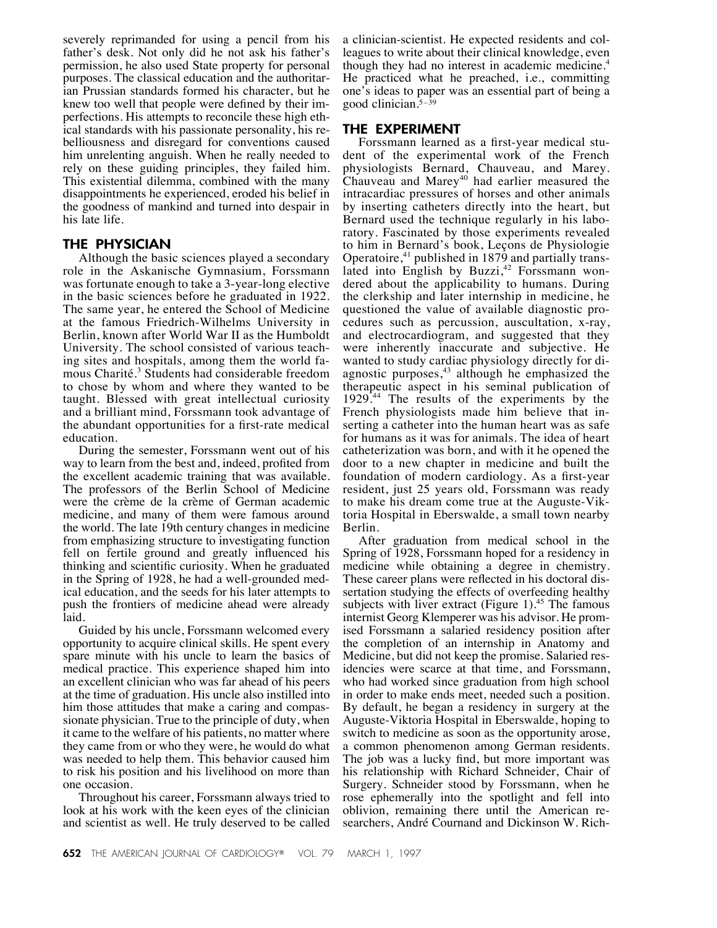severely reprimanded for using a pencil from his father's desk. Not only did he not ask his father's permission, he also used State property for personal purposes. The classical education and the authoritarian Prussian standards formed his character, but he knew too well that people were defined by their imperfections. His attempts to reconcile these high ethical standards with his passionate personality, his rebelliousness and disregard for conventions caused him unrelenting anguish. When he really needed to rely on these guiding principles, they failed him. This existential dilemma, combined with the many disappointments he experienced, eroded his belief in the goodness of mankind and turned into despair in his late life.

### THE PHYSICIAN

Although the basic sciences played a secondary role in the Askanische Gymnasium, Forssmann was fortunate enough to take a 3-year-long elective in the basic sciences before he graduated in 1922. The same year, he entered the School of Medicine at the famous Friedrich-Wilhelms University in Berlin, known after World War II as the Humboldt University. The school consisted of various teaching sites and hospitals, among them the world famous Charité.<sup>3</sup> Students had considerable freedom to chose by whom and where they wanted to be taught. Blessed with great intellectual curiosity and a brilliant mind, Forssmann took advantage of the abundant opportunities for a first-rate medical education.

During the semester, Forssmann went out of his way to learn from the best and, indeed, profited from the excellent academic training that was available. The professors of the Berlin School of Medicine were the crème de la crème of German academic medicine, and many of them were famous around the world. The late 19th century changes in medicine from emphasizing structure to investigating function fell on fertile ground and greatly influenced his thinking and scientific curiosity. When he graduated in the Spring of 1928, he had a well-grounded medical education, and the seeds for his later attempts to push the frontiers of medicine ahead were already laid.

Guided by his uncle, Forssmann welcomed every opportunity to acquire clinical skills. He spent every spare minute with his uncle to learn the basics of medical practice. This experience shaped him into an excellent clinician who was far ahead of his peers at the time of graduation. His uncle also instilled into him those attitudes that make a caring and compassionate physician. True to the principle of duty, when it came to the welfare of his patients, no matter where they came from or who they were, he would do what was needed to help them. This behavior caused him to risk his position and his livelihood on more than one occasion.

Throughout his career, Forssmann always tried to look at his work with the keen eyes of the clinician and scientist as well. He truly deserved to be called a clinician-scientist. He expected residents and colleagues to write about their clinical knowledge, even though they had no interest in academic medicine.<sup>4</sup> He practiced what he preached, i.e., committing one's ideas to paper was an essential part of being a good clinician.5–39

## THE EXPERIMENT

Forssmann learned as a first-year medical student of the experimental work of the French physiologists Bernard, Chauveau, and Marey. Chauveau and Marey<sup>40</sup> had earlier measured the intracardiac pressures of horses and other animals by inserting catheters directly into the heart, but Bernard used the technique regularly in his laboratory. Fascinated by those experiments revealed to him in Bernard's book, Leçons de Physiologie Operatoire,<sup>41</sup> published in 1879 and partially translated into English by Buzzi,<sup>42</sup> Forssmann wondered about the applicability to humans. During the clerkship and later internship in medicine, he questioned the value of available diagnostic procedures such as percussion, auscultation, x-ray, and electrocardiogram, and suggested that they were inherently inaccurate and subjective. He wanted to study cardiac physiology directly for diagnostic purposes, $43$  although he emphasized the therapeutic aspect in his seminal publication of 1929.<sup>44</sup> The results of the experiments by the French physiologists made him believe that inserting a catheter into the human heart was as safe for humans as it was for animals. The idea of heart catheterization was born, and with it he opened the door to a new chapter in medicine and built the foundation of modern cardiology. As a first-year resident, just 25 years old, Forssmann was ready to make his dream come true at the Auguste-Viktoria Hospital in Eberswalde, a small town nearby Berlin.

After graduation from medical school in the Spring of 1928, Forssmann hoped for a residency in medicine while obtaining a degree in chemistry. These career plans were reflected in his doctoral dissertation studying the effects of overfeeding healthy subjects with liver extract (Figure 1). $45$  The famous internist Georg Klemperer was his advisor. He promised Forssmann a salaried residency position after the completion of an internship in Anatomy and Medicine, but did not keep the promise. Salaried residencies were scarce at that time, and Forssmann, who had worked since graduation from high school in order to make ends meet, needed such a position. By default, he began a residency in surgery at the Auguste-Viktoria Hospital in Eberswalde, hoping to switch to medicine as soon as the opportunity arose, a common phenomenon among German residents. The job was a lucky find, but more important was his relationship with Richard Schneider, Chair of Surgery. Schneider stood by Forssmann, when he rose ephemerally into the spotlight and fell into oblivion, remaining there until the American researchers, André Cournand and Dickinson W. Rich-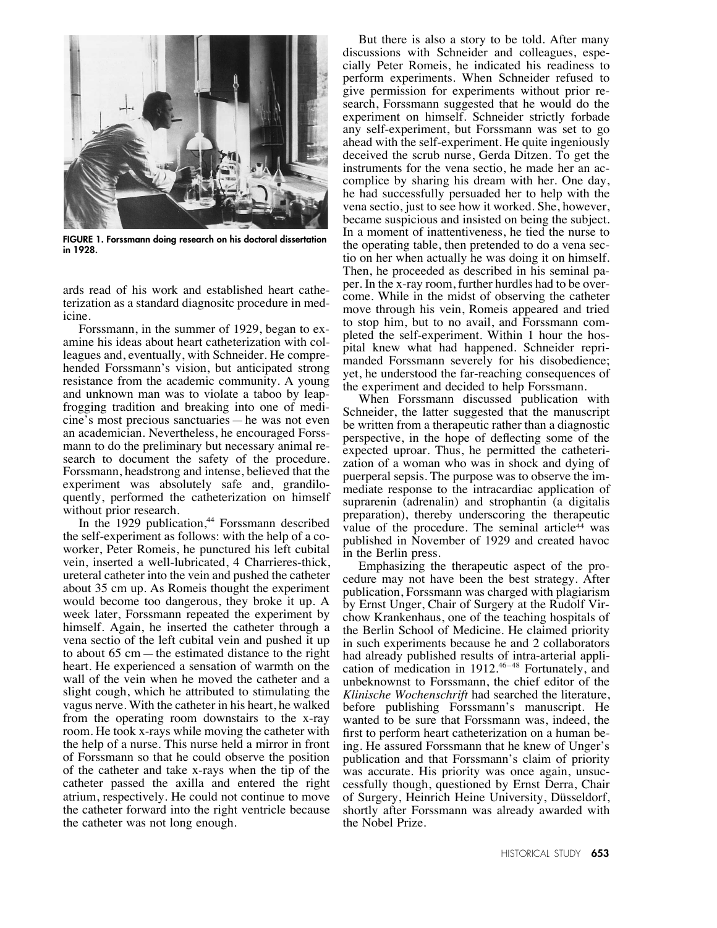

FIGURE 1. Forssmann doing research on his doctoral dissertation in 1928.

ards read of his work and established heart catheterization as a standard diagnositc procedure in medicine.

Forssmann, in the summer of 1929, began to examine his ideas about heart catheterization with colleagues and, eventually, with Schneider. He comprehended Forssmann's vision, but anticipated strong resistance from the academic community. A young and unknown man was to violate a taboo by leapfrogging tradition and breaking into one of medicine's most precious sanctuaries—he was not even an academician. Nevertheless, he encouraged Forssmann to do the preliminary but necessary animal research to document the safety of the procedure. Forssmann, headstrong and intense, believed that the experiment was absolutely safe and, grandiloquently, performed the catheterization on himself without prior research.

In the 1929 publication,<sup>44</sup> Forssmann described the self-experiment as follows: with the help of a coworker, Peter Romeis, he punctured his left cubital vein, inserted a well-lubricated, 4 Charrieres-thick, ureteral catheter into the vein and pushed the catheter about 35 cm up. As Romeis thought the experiment would become too dangerous, they broke it up. A week later, Forssmann repeated the experiment by himself. Again, he inserted the catheter through a vena sectio of the left cubital vein and pushed it up to about 65 cm—the estimated distance to the right heart. He experienced a sensation of warmth on the wall of the vein when he moved the catheter and a slight cough, which he attributed to stimulating the vagus nerve. With the catheter in his heart, he walked from the operating room downstairs to the x-ray room. He took x-rays while moving the catheter with the help of a nurse. This nurse held a mirror in front of Forssmann so that he could observe the position of the catheter and take x-rays when the tip of the catheter passed the axilla and entered the right atrium, respectively. He could not continue to move the catheter forward into the right ventricle because the catheter was not long enough.

But there is also a story to be told. After many discussions with Schneider and colleagues, especially Peter Romeis, he indicated his readiness to perform experiments. When Schneider refused to give permission for experiments without prior research, Forssmann suggested that he would do the experiment on himself. Schneider strictly forbade any self-experiment, but Forssmann was set to go ahead with the self-experiment. He quite ingeniously deceived the scrub nurse, Gerda Ditzen. To get the instruments for the vena sectio, he made her an accomplice by sharing his dream with her. One day, he had successfully persuaded her to help with the vena sectio, just to see how it worked. She, however, became suspicious and insisted on being the subject. In a moment of inattentiveness, he tied the nurse to the operating table, then pretended to do a vena sectio on her when actually he was doing it on himself. Then, he proceeded as described in his seminal paper. In the x-ray room, further hurdles had to be overcome. While in the midst of observing the catheter move through his vein, Romeis appeared and tried to stop him, but to no avail, and Forssmann completed the self-experiment. Within 1 hour the hospital knew what had happened. Schneider reprimanded Forssmann severely for his disobedience; yet, he understood the far-reaching consequences of the experiment and decided to help Forssmann.

When Forssmann discussed publication with Schneider, the latter suggested that the manuscript be written from a therapeutic rather than a diagnostic perspective, in the hope of deflecting some of the expected uproar. Thus, he permitted the catheterization of a woman who was in shock and dying of puerperal sepsis. The purpose was to observe the immediate response to the intracardiac application of suprarenin (adrenalin) and strophantin (a digitalis preparation), thereby underscoring the therapeutic value of the procedure. The seminal article $44$  was published in November of 1929 and created havoc in the Berlin press.

Emphasizing the therapeutic aspect of the procedure may not have been the best strategy. After publication, Forssmann was charged with plagiarism by Ernst Unger, Chair of Surgery at the Rudolf Virchow Krankenhaus, one of the teaching hospitals of the Berlin School of Medicine. He claimed priority in such experiments because he and 2 collaborators had already published results of intra-arterial application of medication in  $1912.^{46-48}$  Fortunately, and unbeknownst to Forssmann, the chief editor of the *Klinische Wochenschrift* had searched the literature, before publishing Forssmann's manuscript. He wanted to be sure that Forssmann was, indeed, the first to perform heart catheterization on a human being. He assured Forssmann that he knew of Unger's publication and that Forssmann's claim of priority was accurate. His priority was once again, unsuccessfully though, questioned by Ernst Derra, Chair of Surgery, Heinrich Heine University, Düsseldorf, shortly after Forssmann was already awarded with the Nobel Prize.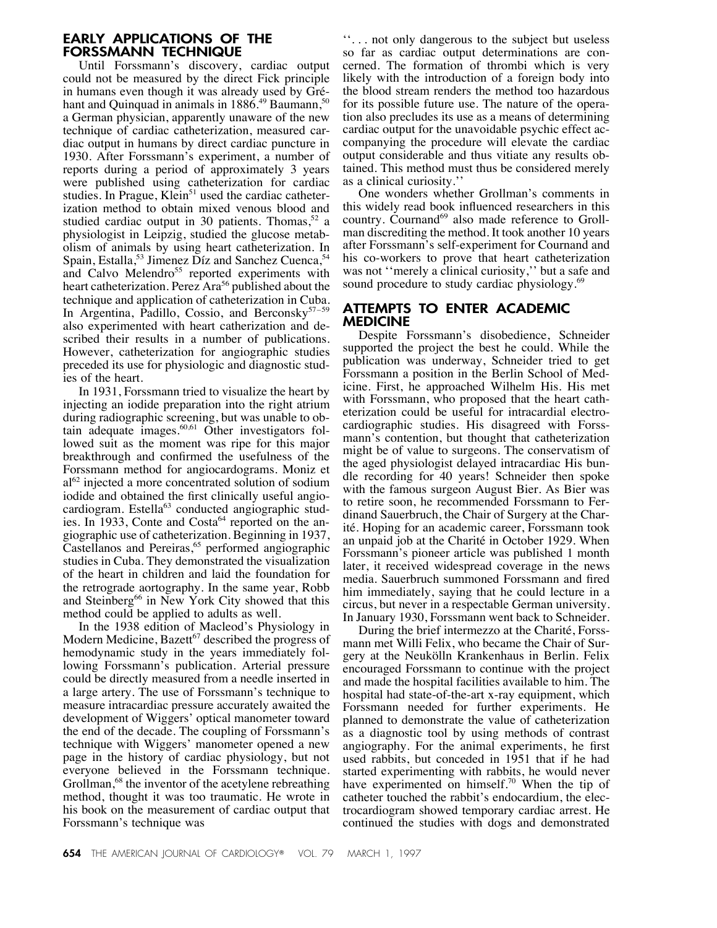## EARLY APPLICATIONS OF THE FORSSMANN TECHNIQUE

Until Forssmann's discovery, cardiac output could not be measured by the direct Fick principle in humans even though it was already used by Gréhant and Quinquad in animals in  $1886<sup>49</sup>$  Baumann,<sup>50</sup> a German physician, apparently unaware of the new technique of cardiac catheterization, measured cardiac output in humans by direct cardiac puncture in 1930. After Forssmann's experiment, a number of reports during a period of approximately 3 years were published using catheterization for cardiac studies. In Prague, Klein<sup>51</sup> used the cardiac catheterization method to obtain mixed venous blood and studied cardiac output in 30 patients. Thomas,  $52$  a physiologist in Leipzig, studied the glucose metabolism of animals by using heart catheterization. In Spain, Estalla,<sup>53</sup> Jimenez Díz and Sanchez Cuenca,<sup>54</sup> and Calvo Melendro<sup>55</sup> reported experiments with heart catheterization. Perez Ara<sup>56</sup> published about the technique and application of catheterization in Cuba. In Argentina, Padillo, Cossio, and Berconsky $57-59$ also experimented with heart catherization and described their results in a number of publications. However, catheterization for angiographic studies preceded its use for physiologic and diagnostic studies of the heart.

In 1931, Forssmann tried to visualize the heart by injecting an iodide preparation into the right atrium during radiographic screening, but was unable to obtain adequate  $images.60,61$  Other investigators followed suit as the moment was ripe for this major breakthrough and confirmed the usefulness of the Forssmann method for angiocardograms. Moniz et  $al<sup>62</sup>$  injected a more concentrated solution of sodium iodide and obtained the first clinically useful angiocardiogram. Estella<sup>63</sup> conducted angiographic studies. In 1933, Conte and Costa<sup>64</sup> reported on the angiographic use of catheterization. Beginning in 1937, Castellanos and Pereiras,<sup>65</sup> performed angiographic studies in Cuba. They demonstrated the visualization of the heart in children and laid the foundation for the retrograde aortography. In the same year, Robb and Steinberg<sup>66</sup> in New York City showed that this method could be applied to adults as well.

In the 1938 edition of Macleod's Physiology in Modern Medicine, Bazett<sup>67</sup> described the progress of hemodynamic study in the years immediately following Forssmann's publication. Arterial pressure could be directly measured from a needle inserted in a large artery. The use of Forssmann's technique to measure intracardiac pressure accurately awaited the development of Wiggers' optical manometer toward the end of the decade. The coupling of Forssmann's technique with Wiggers' manometer opened a new page in the history of cardiac physiology, but not everyone believed in the Forssmann technique. Grollman,<sup>68</sup> the inventor of the acetylene rebreathing method, thought it was too traumatic. He wrote in his book on the measurement of cardiac output that Forssmann's technique was

''. . . not only dangerous to the subject but useless so far as cardiac output determinations are concerned. The formation of thrombi which is very likely with the introduction of a foreign body into the blood stream renders the method too hazardous for its possible future use. The nature of the operation also precludes its use as a means of determining cardiac output for the unavoidable psychic effect accompanying the procedure will elevate the cardiac output considerable and thus vitiate any results obtained. This method must thus be considered merely as a clinical curiosity.''

One wonders whether Grollman's comments in this widely read book influenced researchers in this country. Cournand<sup>69</sup> also made reference to Grollman discrediting the method. It took another 10 years after Forssmann's self-experiment for Cournand and his co-workers to prove that heart catheterization was not "merely a clinical curiosity," but a safe and sound procedure to study cardiac physiology.<sup>69</sup>

## ATTEMPTS TO ENTER ACADEMIC MEDICINE

Despite Forssmann's disobedience, Schneider supported the project the best he could. While the publication was underway, Schneider tried to get Forssmann a position in the Berlin School of Medicine. First, he approached Wilhelm His. His met with Forssmann, who proposed that the heart catheterization could be useful for intracardial electrocardiographic studies. His disagreed with Forssmann's contention, but thought that catheterization might be of value to surgeons. The conservatism of the aged physiologist delayed intracardiac His bundle recording for 40 years! Schneider then spoke with the famous surgeon August Bier. As Bier was to retire soon, he recommended Forssmann to Ferdinand Sauerbruch, the Chair of Surgery at the Charité. Hoping for an academic career, Forssmann took an unpaid job at the Charité in October 1929. When Forssmann's pioneer article was published 1 month later, it received widespread coverage in the news media. Sauerbruch summoned Forssmann and fired him immediately, saying that he could lecture in a circus, but never in a respectable German university. In January 1930, Forssmann went back to Schneider.

During the brief intermezzo at the Charité, Forssmann met Willi Felix, who became the Chair of Surgery at the Neukölln Krankenhaus in Berlin. Felix encouraged Forssmann to continue with the project and made the hospital facilities available to him. The hospital had state-of-the-art x-ray equipment, which Forssmann needed for further experiments. He planned to demonstrate the value of catheterization as a diagnostic tool by using methods of contrast angiography. For the animal experiments, he first used rabbits, but conceded in 1951 that if he had started experimenting with rabbits, he would never have experimented on himself.<sup>70</sup> When the tip of catheter touched the rabbit's endocardium, the electrocardiogram showed temporary cardiac arrest. He continued the studies with dogs and demonstrated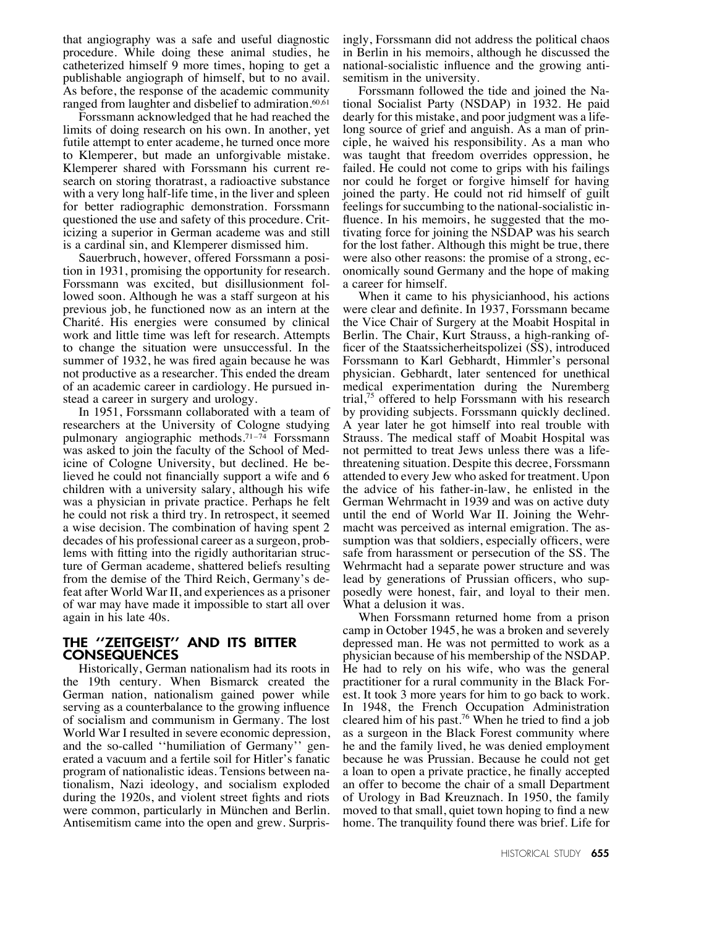that angiography was a safe and useful diagnostic procedure. While doing these animal studies, he catheterized himself 9 more times, hoping to get a publishable angiograph of himself, but to no avail. As before, the response of the academic community ranged from laughter and disbelief to admiration.<sup>60,61</sup>

Forssmann acknowledged that he had reached the limits of doing research on his own. In another, yet futile attempt to enter academe, he turned once more to Klemperer, but made an unforgivable mistake. Klemperer shared with Forssmann his current research on storing thoratrast, a radioactive substance with a very long half-life time, in the liver and spleen for better radiographic demonstration. Forssmann questioned the use and safety of this procedure. Criticizing a superior in German academe was and still is a cardinal sin, and Klemperer dismissed him.

Sauerbruch, however, offered Forssmann a position in 1931, promising the opportunity for research. Forssmann was excited, but disillusionment followed soon. Although he was a staff surgeon at his previous job, he functioned now as an intern at the Charité. His energies were consumed by clinical work and little time was left for research. Attempts to change the situation were unsuccessful. In the summer of 1932, he was fired again because he was not productive as a researcher. This ended the dream of an academic career in cardiology. He pursued instead a career in surgery and urology.

In 1951, Forssmann collaborated with a team of researchers at the University of Cologne studying pulmonary angiographic methods.71–74 Forssmann was asked to join the faculty of the School of Medicine of Cologne University, but declined. He believed he could not financially support a wife and 6 children with a university salary, although his wife was a physician in private practice. Perhaps he felt he could not risk a third try. In retrospect, it seemed a wise decision. The combination of having spent 2 decades of his professional career as a surgeon, problems with fitting into the rigidly authoritarian structure of German academe, shattered beliefs resulting from the demise of the Third Reich, Germany's defeat after World War II, and experiences as a prisoner of war may have made it impossible to start all over again in his late 40s.

### THE ''ZEITGEIST'' AND ITS BITTER **CONSEQUENCES**

Historically, German nationalism had its roots in the 19th century. When Bismarck created the German nation, nationalism gained power while serving as a counterbalance to the growing influence of socialism and communism in Germany. The lost World War I resulted in severe economic depression, and the so-called ''humiliation of Germany'' generated a vacuum and a fertile soil for Hitler's fanatic program of nationalistic ideas. Tensions between nationalism, Nazi ideology, and socialism exploded during the 1920s, and violent street fights and riots were common, particularly in München and Berlin. Antisemitism came into the open and grew. Surprisingly, Forssmann did not address the political chaos in Berlin in his memoirs, although he discussed the national-socialistic influence and the growing antisemitism in the university.

Forssmann followed the tide and joined the National Socialist Party (NSDAP) in 1932. He paid dearly for this mistake, and poor judgment was a lifelong source of grief and anguish. As a man of principle, he waived his responsibility. As a man who was taught that freedom overrides oppression, he failed. He could not come to grips with his failings nor could he forget or forgive himself for having joined the party. He could not rid himself of guilt feelings for succumbing to the national-socialistic influence. In his memoirs, he suggested that the motivating force for joining the NSDAP was his search for the lost father. Although this might be true, there were also other reasons: the promise of a strong, economically sound Germany and the hope of making a career for himself.

When it came to his physicianhood, his actions were clear and definite. In 1937, Forssmann became the Vice Chair of Surgery at the Moabit Hospital in Berlin. The Chair, Kurt Strauss, a high-ranking officer of the Staatssicherheitspolizei (SS), introduced Forssmann to Karl Gebhardt, Himmler's personal physician. Gebhardt, later sentenced for unethical medical experimentation during the Nuremberg trial,75 offered to help Forssmann with his research by providing subjects. Forssmann quickly declined. A year later he got himself into real trouble with Strauss. The medical staff of Moabit Hospital was not permitted to treat Jews unless there was a lifethreatening situation. Despite this decree, Forssmann attended to every Jew who asked for treatment. Upon the advice of his father-in-law, he enlisted in the German Wehrmacht in 1939 and was on active duty until the end of World War II. Joining the Wehrmacht was perceived as internal emigration. The assumption was that soldiers, especially officers, were safe from harassment or persecution of the SS. The Wehrmacht had a separate power structure and was lead by generations of Prussian officers, who supposedly were honest, fair, and loyal to their men. What a delusion it was.

When Forssmann returned home from a prison camp in October 1945, he was a broken and severely depressed man. He was not permitted to work as a physician because of his membership of the NSDAP. He had to rely on his wife, who was the general practitioner for a rural community in the Black Forest. It took 3 more years for him to go back to work. In 1948, the French Occupation Administration cleared him of his past.76 When he tried to find a job as a surgeon in the Black Forest community where he and the family lived, he was denied employment because he was Prussian. Because he could not get a loan to open a private practice, he finally accepted an offer to become the chair of a small Department of Urology in Bad Kreuznach. In 1950, the family moved to that small, quiet town hoping to find a new home. The tranquility found there was brief. Life for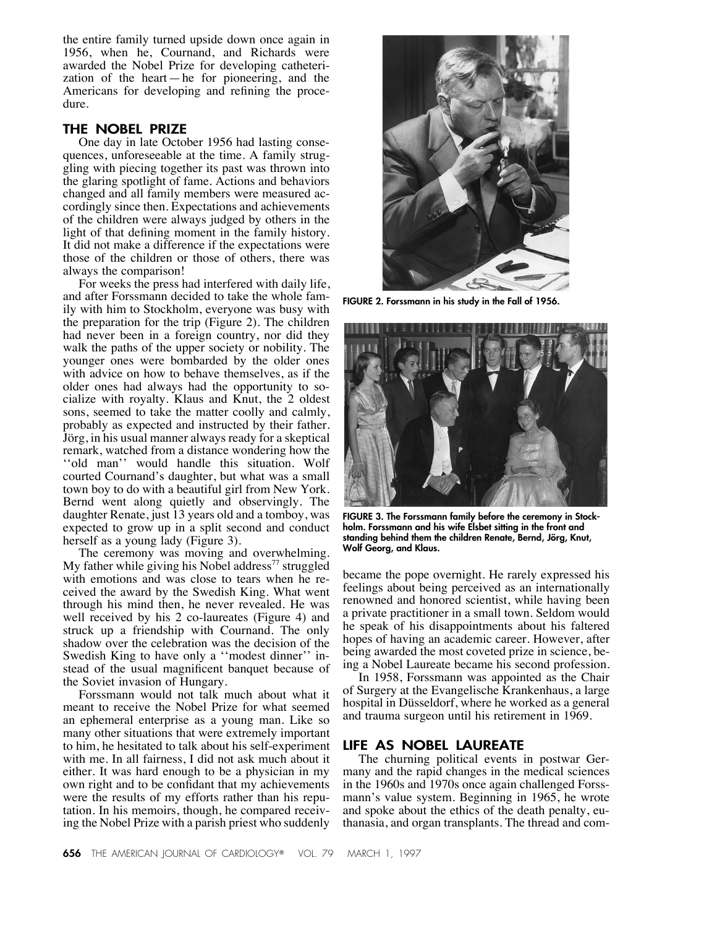the entire family turned upside down once again in 1956, when he, Cournand, and Richards were awarded the Nobel Prize for developing catheterization of the heart—he for pioneering, and the Americans for developing and refining the procedure.

## THE NOBEL PRIZE

One day in late October 1956 had lasting consequences, unforeseeable at the time. A family struggling with piecing together its past was thrown into the glaring spotlight of fame. Actions and behaviors changed and all family members were measured accordingly since then. Expectations and achievements of the children were always judged by others in the light of that defining moment in the family history. It did not make a difference if the expectations were those of the children or those of others, there was always the comparison!

For weeks the press had interfered with daily life, and after Forssmann decided to take the whole family with him to Stockholm, everyone was busy with the preparation for the trip (Figure 2). The children had never been in a foreign country, nor did they walk the paths of the upper society or nobility. The younger ones were bombarded by the older ones with advice on how to behave themselves, as if the older ones had always had the opportunity to socialize with royalty. Klaus and Knut, the 2 oldest sons, seemed to take the matter coolly and calmly, probably as expected and instructed by their father. Jörg, in his usual manner always ready for a skeptical remark, watched from a distance wondering how the ''old man'' would handle this situation. Wolf courted Cournand's daughter, but what was a small town boy to do with a beautiful girl from New York. Bernd went along quietly and observingly. The daughter Renate, just 13 years old and a tomboy, was expected to grow up in a split second and conduct herself as a young lady (Figure 3).

The ceremony was moving and overwhelming. My father while giving his Nobel address<sup>77</sup> struggled with emotions and was close to tears when he received the award by the Swedish King. What went through his mind then, he never revealed. He was well received by his 2 co-laureates (Figure 4) and struck up a friendship with Cournand. The only shadow over the celebration was the decision of the Swedish King to have only a ''modest dinner'' instead of the usual magnificent banquet because of the Soviet invasion of Hungary.

Forssmann would not talk much about what it meant to receive the Nobel Prize for what seemed an ephemeral enterprise as a young man. Like so many other situations that were extremely important to him, he hesitated to talk about his self-experiment with me. In all fairness, I did not ask much about it either. It was hard enough to be a physician in my own right and to be confidant that my achievements were the results of my efforts rather than his reputation. In his memoirs, though, he compared receiving the Nobel Prize with a parish priest who suddenly



FIGURE 2. Forssmann in his study in the Fall of 1956.



FIGURE 3. The Forssmann family before the ceremony in Stockholm. Forssmann and his wife Elsbet sitting in the front and standing behind them the children Renate, Bernd, Jörg, Knut, Wolf Georg, and Klaus.

became the pope overnight. He rarely expressed his feelings about being perceived as an internationally renowned and honored scientist, while having been a private practitioner in a small town. Seldom would he speak of his disappointments about his faltered hopes of having an academic career. However, after being awarded the most coveted prize in science, being a Nobel Laureate became his second profession.

In 1958, Forssmann was appointed as the Chair of Surgery at the Evangelische Krankenhaus, a large hospital in Düsseldorf, where he worked as a general and trauma surgeon until his retirement in 1969.

#### LIFE AS NOBEL LAUREATE

The churning political events in postwar Germany and the rapid changes in the medical sciences in the 1960s and 1970s once again challenged Forssmann's value system. Beginning in 1965, he wrote and spoke about the ethics of the death penalty, euthanasia, and organ transplants. The thread and com-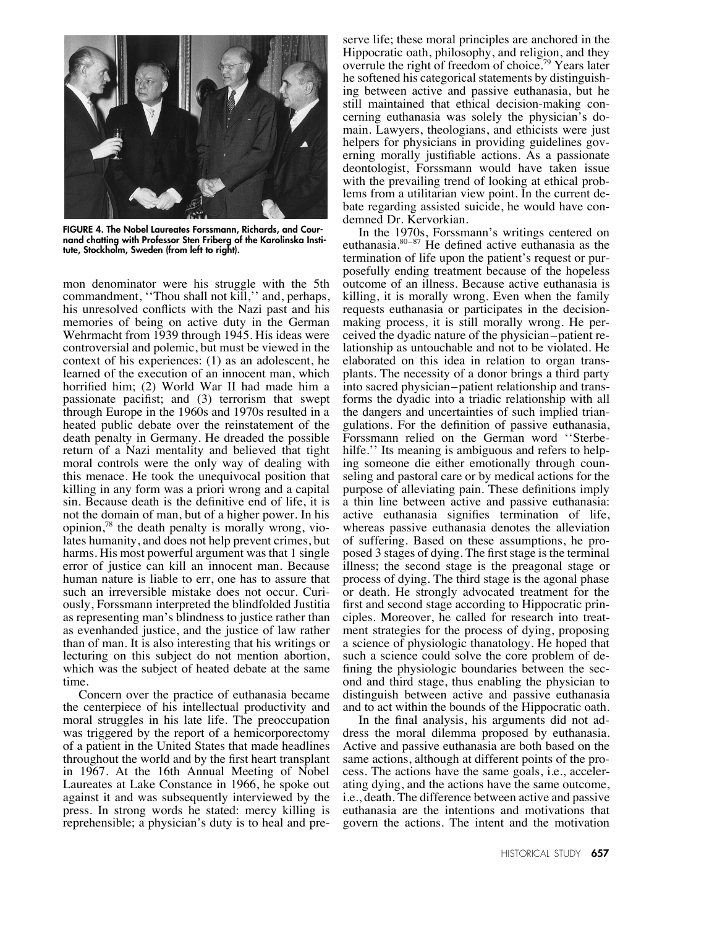

FIGURE 4. The Nobel Laureates Forssmann, Richards, and Cournand chatting with Professor Sten Friberg of the Karolinska Institute, Stockholm, Sweden (from left to right).

mon denominator were his struggle with the 5th commandment, ''Thou shall not kill,'' and, perhaps, his unresolved conflicts with the Nazi past and his memories of being on active duty in the German Wehrmacht from 1939 through 1945. His ideas were controversial and polemic, but must be viewed in the context of his experiences: (1) as an adolescent, he learned of the execution of an innocent man, which horrified him; (2) World War II had made him a passionate pacifist; and (3) terrorism that swept through Europe in the 1960s and 1970s resulted in a heated public debate over the reinstatement of the death penalty in Germany. He dreaded the possible return of a Nazi mentality and believed that tight moral controls were the only way of dealing with this menace. He took the unequivocal position that killing in any form was a priori wrong and a capital sin. Because death is the definitive end of life, it is not the domain of man, but of a higher power. In his opinion,78 the death penalty is morally wrong, violates humanity, and does not help prevent crimes, but harms. His most powerful argument was that 1 single error of justice can kill an innocent man. Because human nature is liable to err, one has to assure that such an irreversible mistake does not occur. Curiously, Forssmann interpreted the blindfolded Justitia as representing man's blindness to justice rather than as evenhanded justice, and the justice of law rather than of man. It is also interesting that his writings or lecturing on this subject do not mention abortion, which was the subject of heated debate at the same time.

Concern over the practice of euthanasia became the centerpiece of his intellectual productivity and moral struggles in his late life. The preoccupation was triggered by the report of a hemicorporectomy of a patient in the United States that made headlines throughout the world and by the first heart transplant in 1967. At the 16th Annual Meeting of Nobel Laureates at Lake Constance in 1966, he spoke out against it and was subsequently interviewed by the press. In strong words he stated: mercy killing is reprehensible; a physician's duty is to heal and preserve life; these moral principles are anchored in the Hippocratic oath, philosophy, and religion, and they overrule the right of freedom of choice.79 Years later he softened his categorical statements by distinguishing between active and passive euthanasia, but he still maintained that ethical decision-making concerning euthanasia was solely the physician's domain. Lawyers, theologians, and ethicists were just helpers for physicians in providing guidelines governing morally justifiable actions. As a passionate deontologist, Forssmann would have taken issue with the prevailing trend of looking at ethical problems from a utilitarian view point. In the current debate regarding assisted suicide, he would have condemned Dr. Kervorkian.

In the 1970s, Forssmann's writings centered on euthanasia.80–87 He defined active euthanasia as the termination of life upon the patient's request or purposefully ending treatment because of the hopeless outcome of an illness. Because active euthanasia is killing, it is morally wrong. Even when the family requests euthanasia or participates in the decisionmaking process, it is still morally wrong. He perceived the dyadic nature of the physician–patient relationship as untouchable and not to be violated. He elaborated on this idea in relation to organ transplants. The necessity of a donor brings a third party into sacred physician–patient relationship and transforms the dyadic into a triadic relationship with all the dangers and uncertainties of such implied triangulations. For the definition of passive euthanasia, Forssmann relied on the German word ''Sterbehilfe." Its meaning is ambiguous and refers to helping someone die either emotionally through counseling and pastoral care or by medical actions for the purpose of alleviating pain. These definitions imply a thin line between active and passive euthanasia: active euthanasia signifies termination of life, whereas passive euthanasia denotes the alleviation of suffering. Based on these assumptions, he proposed 3 stages of dying. The first stage is the terminal illness; the second stage is the preagonal stage or process of dying. The third stage is the agonal phase or death. He strongly advocated treatment for the first and second stage according to Hippocratic principles. Moreover, he called for research into treatment strategies for the process of dying, proposing a science of physiologic thanatology. He hoped that such a science could solve the core problem of defining the physiologic boundaries between the second and third stage, thus enabling the physician to distinguish between active and passive euthanasia and to act within the bounds of the Hippocratic oath.

In the final analysis, his arguments did not address the moral dilemma proposed by euthanasia. Active and passive euthanasia are both based on the same actions, although at different points of the process. The actions have the same goals, i.e., accelerating dying, and the actions have the same outcome, i.e., death. The difference between active and passive euthanasia are the intentions and motivations that govern the actions. The intent and the motivation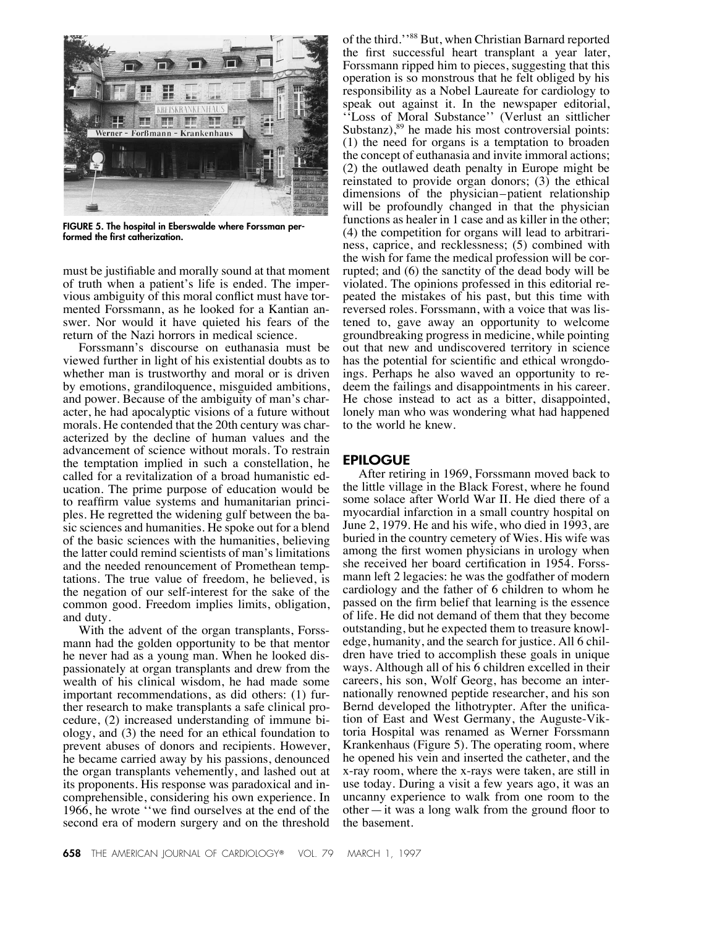

FIGURE 5. The hospital in Eberswalde where Forssman performed the first catherization.

must be justifiable and morally sound at that moment of truth when a patient's life is ended. The impervious ambiguity of this moral conflict must have tormented Forssmann, as he looked for a Kantian answer. Nor would it have quieted his fears of the return of the Nazi horrors in medical science.

Forssmann's discourse on euthanasia must be viewed further in light of his existential doubts as to whether man is trustworthy and moral or is driven by emotions, grandiloquence, misguided ambitions, and power. Because of the ambiguity of man's character, he had apocalyptic visions of a future without morals. He contended that the 20th century was characterized by the decline of human values and the advancement of science without morals. To restrain the temptation implied in such a constellation, he called for a revitalization of a broad humanistic education. The prime purpose of education would be to reaffirm value systems and humanitarian principles. He regretted the widening gulf between the basic sciences and humanities. He spoke out for a blend of the basic sciences with the humanities, believing the latter could remind scientists of man's limitations and the needed renouncement of Promethean temptations. The true value of freedom, he believed, is the negation of our self-interest for the sake of the common good. Freedom implies limits, obligation, and duty.

With the advent of the organ transplants, Forssmann had the golden opportunity to be that mentor he never had as a young man. When he looked dispassionately at organ transplants and drew from the wealth of his clinical wisdom, he had made some important recommendations, as did others: (1) further research to make transplants a safe clinical procedure, (2) increased understanding of immune biology, and (3) the need for an ethical foundation to prevent abuses of donors and recipients. However, he became carried away by his passions, denounced the organ transplants vehemently, and lashed out at its proponents. His response was paradoxical and incomprehensible, considering his own experience. In 1966, he wrote ''we find ourselves at the end of the second era of modern surgery and on the threshold

of the third.''88 But, when Christian Barnard reported the first successful heart transplant a year later, Forssmann ripped him to pieces, suggesting that this operation is so monstrous that he felt obliged by his responsibility as a Nobel Laureate for cardiology to speak out against it. In the newspaper editorial, ''Loss of Moral Substance'' (Verlust an sittlicher Substanz), $89$  he made his most controversial points: (1) the need for organs is a temptation to broaden the concept of euthanasia and invite immoral actions; (2) the outlawed death penalty in Europe might be reinstated to provide organ donors;  $(3)$  the ethical dimensions of the physician–patient relationship will be profoundly changed in that the physician functions as healer in 1 case and as killer in the other; (4) the competition for organs will lead to arbitrariness, caprice, and recklessness; (5) combined with the wish for fame the medical profession will be corrupted; and (6) the sanctity of the dead body will be violated. The opinions professed in this editorial repeated the mistakes of his past, but this time with reversed roles. Forssmann, with a voice that was listened to, gave away an opportunity to welcome groundbreaking progress in medicine, while pointing out that new and undiscovered territory in science has the potential for scientific and ethical wrongdoings. Perhaps he also waved an opportunity to redeem the failings and disappointments in his career. He chose instead to act as a bitter, disappointed, lonely man who was wondering what had happened to the world he knew.

## EPILOGUE

After retiring in 1969, Forssmann moved back to the little village in the Black Forest, where he found some solace after World War II. He died there of a myocardial infarction in a small country hospital on June 2, 1979. He and his wife, who died in 1993, are buried in the country cemetery of Wies. His wife was among the first women physicians in urology when she received her board certification in 1954. Forssmann left 2 legacies: he was the godfather of modern cardiology and the father of 6 children to whom he passed on the firm belief that learning is the essence of life. He did not demand of them that they become outstanding, but he expected them to treasure knowledge, humanity, and the search for justice. All 6 children have tried to accomplish these goals in unique ways. Although all of his 6 children excelled in their careers, his son, Wolf Georg, has become an internationally renowned peptide researcher, and his son Bernd developed the lithotrypter. After the unification of East and West Germany, the Auguste-Viktoria Hospital was renamed as Werner Forssmann Krankenhaus (Figure 5). The operating room, where he opened his vein and inserted the catheter, and the x-ray room, where the x-rays were taken, are still in use today. During a visit a few years ago, it was an uncanny experience to walk from one room to the other—it was a long walk from the ground floor to the basement.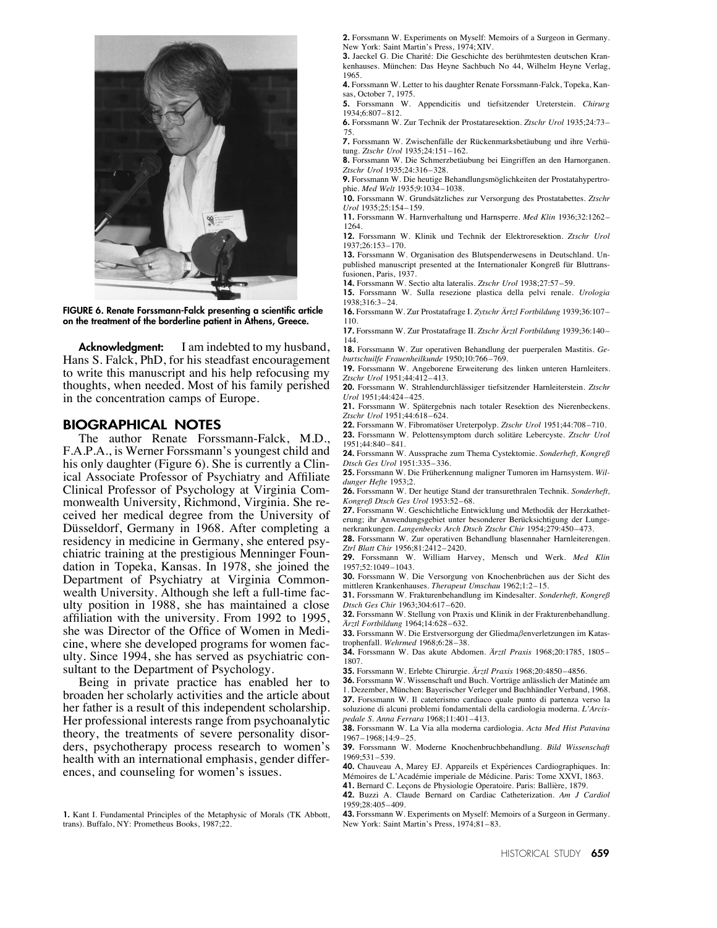

FIGURE 6. Renate Forssmann-Falck presenting a scientific article on the treatment of the borderline patient in Athens, Greece.

Acknowledgment: I am indebted to my husband, Hans S. Falck, PhD, for his steadfast encouragement to write this manuscript and his help refocusing my thoughts, when needed. Most of his family perished in the concentration camps of Europe.

#### BIOGRAPHICAL NOTES

The author Renate Forssmann-Falck, M.D., F.A.P.A., is Werner Forssmann's youngest child and his only daughter (Figure 6). She is currently a Clinical Associate Professor of Psychiatry and Affiliate Clinical Professor of Psychology at Virginia Commonwealth University, Richmond, Virginia. She received her medical degree from the University of Düsseldorf, Germany in 1968. After completing a residency in medicine in Germany, she entered psychiatric training at the prestigious Menninger Foundation in Topeka, Kansas. In 1978, she joined the Department of Psychiatry at Virginia Commonwealth University. Although she left a full-time faculty position in 1988, she has maintained a close affiliation with the university. From 1992 to 1995, she was Director of the Office of Women in Medicine, where she developed programs for women faculty. Since 1994, she has served as psychiatric consultant to the Department of Psychology.

Being in private practice has enabled her to broaden her scholarly activities and the article about her father is a result of this independent scholarship. Her professional interests range from psychoanalytic theory, the treatments of severe personality disorders, psychotherapy process research to women's health with an international emphasis, gender differences, and counseling for women's issues.

2. Forssmann W. Experiments on Myself: Memoirs of a Surgeon in Germany. New York: Saint Martin's Press, 1974;XIV.

3. Jaeckel G. Die Charité: Die Geschichte des berühmtesten deutschen Krankenhauses. München: Das Heyne Sachbuch No 44, Wilhelm Heyne Verlag, 1965.

4. Forssmann W. Letter to his daughter Renate Forssmann-Falck, Topeka, Kansas, October 7, 1975.

5. Forssmann W. Appendicitis und tiefsitzender Ureterstein. *Chirurg* 1934;6:807–812.

6. Forssmann W. Zur Technik der Prostataresektion. *Ztschr Urol* 1935;24:73– 75.

7. Forssmann W. Zwischenfälle der Rückenmarksbetäubung und ihre Verhütung. *Ztschr Urol* 1935;24:151–162.

8. Forssmann W. Die Schmerzbetäubung bei Eingriffen an den Harnorganen. *Ztschr Urol* 1935;24:316–328.

9. Forssmann W. Die heutige Behandlungsmöglichkeiten der Prostatahypertrophie. *Med Welt* 1935;9:1034–1038.

10. Forssmann W. Grundsätzliches zur Versorgung des Prostatabettes. Ztschr *Urol* 1935;25:154–159.

11. Forssmann W. Harnverhaltung und Harnsperre. *Med Klin* 1936;32:1262– 1264.

12. Forssmann W. Klinik und Technik der Elektroresektion. *Ztschr Urol* 1937;26:153–170.

13. Forssmann W. Organisation des Blutspenderwesens in Deutschland. Unpublished manuscript presented at the Internationaler Kongreß für Bluttransfusionen, Paris, 1937.

14. Forssmann W. Sectio alta lateralis. *Ztschr Urol* 1938;27:57–59.

15. Forssmann W. Sulla resezione plastica della pelvi renale. *Urologia* 1938;316:3–24.

16. Forssmann W. Zur Prostatafrage I. Zytschr Ärtzl Fortbildung 1939;36:107– 110.

17. Forssmann W. Zur Prostatafrage II. Ztschr Ärztl Fortbildung 1939;36:140-144.

18. Forssmann W. Zur operativen Behandlung der puerperalen Mastitis. *Geburtschuilfe Frauenheilkunde* 1950;10:766–769.

19. Forssmann W. Angeborene Erweiterung des linken unteren Harnleiters. *Ztschr Urol* 1951;44:412–413.

20. Forssmann W. Strahlendurchlässiger tiefsitzender Harnleiterstein. Ztschr *Urol* 1951;44:424–425.

21. Forssmann W. Spätergebnis nach totaler Resektion des Nierenbeckens. *Ztschr Urol* 1951;44:618–624.

22. Forssmann W. Fibromatöser Ureterpolyp. Ztschr Urol 1951;44:708-710. 23. Forssmann W. Pelottensymptom durch solitäre Lebercyste. Ztschr Urol 1951;44:840–841.

24. Forssmann W. Aussprache zum Thema Cystektomie. *Sonderheft, Kongreß Dtsch Ges Urol* 1951:335–336.

25. Forssmann W. Die Früherkennung maligner Tumoren im Harnsystem. Wil*dunger Hefte* 1953;2.

26. Forssmann W. Der heutige Stand der transurethralen Technik. *Sonderheft, Kongreß Dtsch Ges Urol* 1953:52–68.

27. Forssmann W. Geschichtliche Entwicklung und Methodik der Herzkatheterung; ihr Anwendungsgebiet unter besonderer Berücksichtigung der Lungenerkrankungen. *Langenbecks Arch Dtsch Ztschr Chir* 1954;279:450–473.

28. Forssmann W. Zur operativen Behandlung blasennaher Harnleiterengen. *Ztrl Blatt Chir* 1956;81:2412–2420.

29. Forssmann W. William Harvey, Mensch und Werk. *Med Klin* 1957;52:1049–1043.

30. Forssmann W. Die Versorgung von Knochenbrüchen aus der Sicht des mittleren Krankenhauses. *Therapeut Umschau* 1962;1:2–15.

31. Forssmann W. Frakturenbehandlung im Kindesalter. *Sonderheft, Kongreß Dtsch Ges Chir* 1963;304:617–620.

32. Forssmann W. Stellung von Praxis und Klinik in der Frakturenbehandlung. *A¨rztl Fortbildung* 1964;14:628–632.

33. Forssmann W. Die Erstversorgung der Gliedmaßenverletzungen im Katastrophenfall. *Wehrmed* 1968;6:28–38.

34. Forssmann W. Das akute Abdomen. Ärztl Praxis 1968;20:1785, 1805– 1807.

35. Forssmann W. Erlebte Chirurgie. Ärztl Praxis 1968;20:4850-4856.

36. Forssmann W. Wissenschaft und Buch. Vorträge anlässlich der Matinée am 1. Dezember, München: Bayerischer Verleger und Buchhändler Verband, 1968.

37. Forssmann W. Il cateterismo cardiaco quale punto di partenza verso la soluzione di alcuni problemi fondamentali della cardiologia moderna. *L'Arcispedale S. Anna Ferrara* 1968;11:401–413.

38. Forssmann W. La Via alla moderna cardiologia. *Acta Med Hist Patavina* 1967–1968;14:9–25.

39. Forssmann W. Moderne Knochenbruchbehandlung. *Bild Wissenschaft* 1969;531–539.

40. Chauveau A, Marey EJ. Appareils et Expériences Cardiographiques. In: Mémoires de L'Académie imperiale de Médicine. Paris: Tome XXVI, 1863.

41. Bernard C. Leçons de Physiologie Operatoire. Paris: Ballière, 1879.

42. Buzzi A. Claude Bernard on Cardiac Catheterization. *Am J Cardiol* 1959;28:405–409.

43. Forssmann W. Experiments on Myself: Memoirs of a Surgeon in Germany. New York: Saint Martin's Press, 1974;81–83.

HISTORICAL STUDY 659

<sup>1.</sup> Kant I. Fundamental Principles of the Metaphysic of Morals (TK Abbott, trans). Buffalo, NY: Prometheus Books, 1987;22.